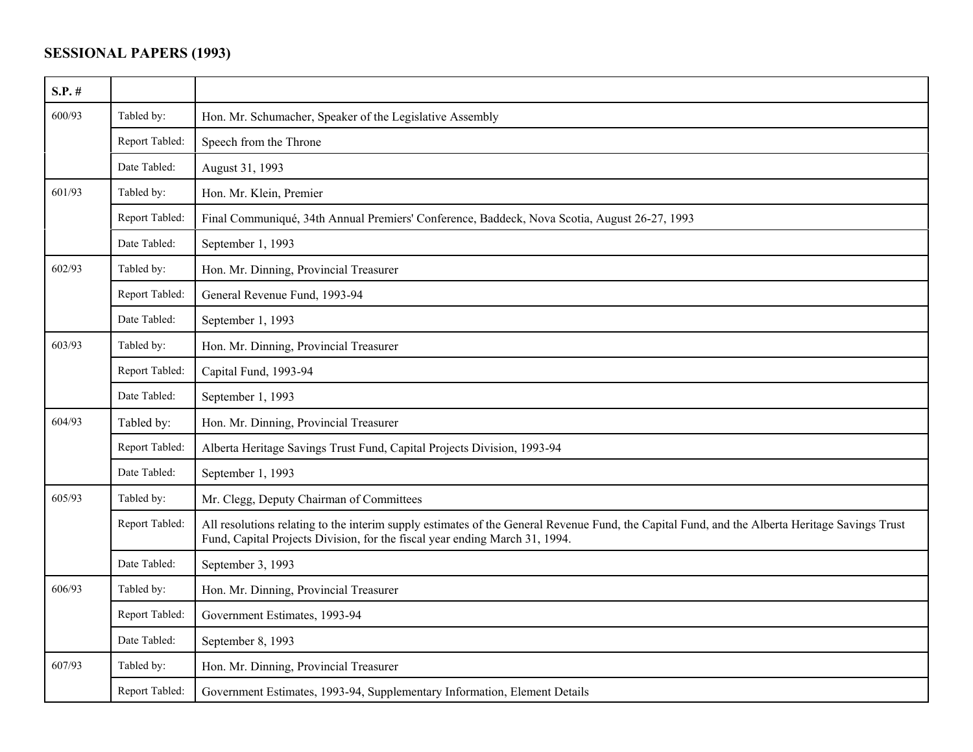## **SESSIONAL PAPERS (1993)**

| $S.P.$ # |                |                                                                                                                                                                                                                               |
|----------|----------------|-------------------------------------------------------------------------------------------------------------------------------------------------------------------------------------------------------------------------------|
| 600/93   | Tabled by:     | Hon. Mr. Schumacher, Speaker of the Legislative Assembly                                                                                                                                                                      |
|          | Report Tabled: | Speech from the Throne                                                                                                                                                                                                        |
|          | Date Tabled:   | August 31, 1993                                                                                                                                                                                                               |
| 601/93   | Tabled by:     | Hon. Mr. Klein, Premier                                                                                                                                                                                                       |
|          | Report Tabled: | Final Communiqué, 34th Annual Premiers' Conference, Baddeck, Nova Scotia, August 26-27, 1993                                                                                                                                  |
|          | Date Tabled:   | September 1, 1993                                                                                                                                                                                                             |
| 602/93   | Tabled by:     | Hon. Mr. Dinning, Provincial Treasurer                                                                                                                                                                                        |
|          | Report Tabled: | General Revenue Fund, 1993-94                                                                                                                                                                                                 |
|          | Date Tabled:   | September 1, 1993                                                                                                                                                                                                             |
| 603/93   | Tabled by:     | Hon. Mr. Dinning, Provincial Treasurer                                                                                                                                                                                        |
|          | Report Tabled: | Capital Fund, 1993-94                                                                                                                                                                                                         |
|          | Date Tabled:   | September 1, 1993                                                                                                                                                                                                             |
| 604/93   | Tabled by:     | Hon. Mr. Dinning, Provincial Treasurer                                                                                                                                                                                        |
|          | Report Tabled: | Alberta Heritage Savings Trust Fund, Capital Projects Division, 1993-94                                                                                                                                                       |
|          | Date Tabled:   | September 1, 1993                                                                                                                                                                                                             |
| 605/93   | Tabled by:     | Mr. Clegg, Deputy Chairman of Committees                                                                                                                                                                                      |
|          | Report Tabled: | All resolutions relating to the interim supply estimates of the General Revenue Fund, the Capital Fund, and the Alberta Heritage Savings Trust<br>Fund, Capital Projects Division, for the fiscal year ending March 31, 1994. |
|          | Date Tabled:   | September 3, 1993                                                                                                                                                                                                             |
| 606/93   | Tabled by:     | Hon. Mr. Dinning, Provincial Treasurer                                                                                                                                                                                        |
|          | Report Tabled: | Government Estimates, 1993-94                                                                                                                                                                                                 |
|          | Date Tabled:   | September 8, 1993                                                                                                                                                                                                             |
| 607/93   | Tabled by:     | Hon. Mr. Dinning, Provincial Treasurer                                                                                                                                                                                        |
|          | Report Tabled: | Government Estimates, 1993-94, Supplementary Information, Element Details                                                                                                                                                     |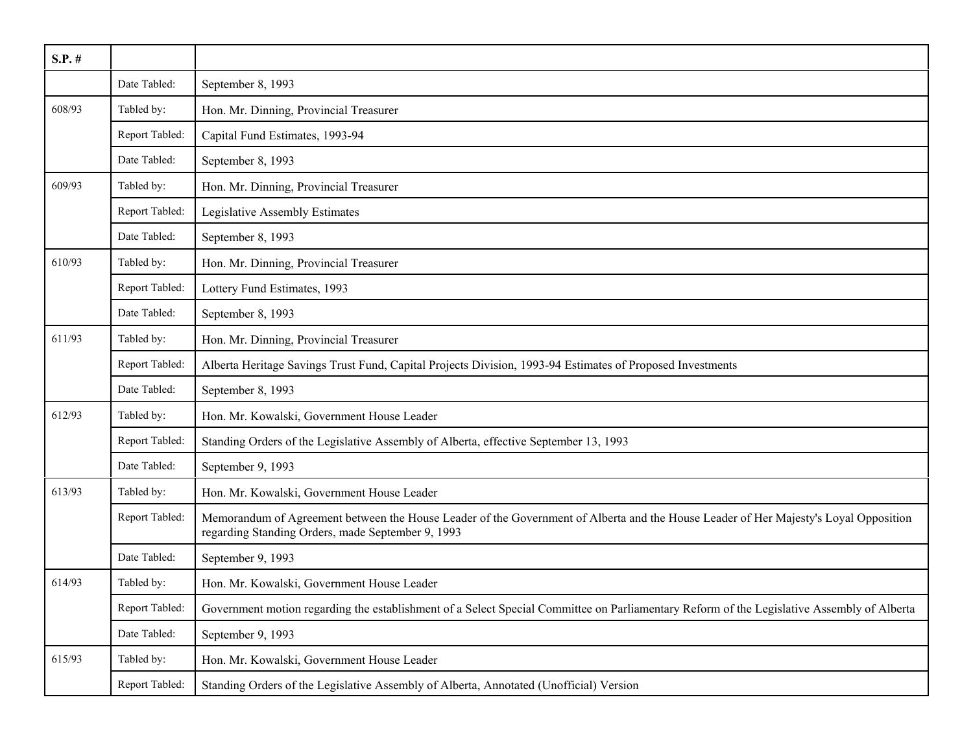| $S.P.$ # |                |                                                                                                                                                                                           |
|----------|----------------|-------------------------------------------------------------------------------------------------------------------------------------------------------------------------------------------|
|          | Date Tabled:   | September 8, 1993                                                                                                                                                                         |
| 608/93   | Tabled by:     | Hon. Mr. Dinning, Provincial Treasurer                                                                                                                                                    |
|          | Report Tabled: | Capital Fund Estimates, 1993-94                                                                                                                                                           |
|          | Date Tabled:   | September 8, 1993                                                                                                                                                                         |
| 609/93   | Tabled by:     | Hon. Mr. Dinning, Provincial Treasurer                                                                                                                                                    |
|          | Report Tabled: | Legislative Assembly Estimates                                                                                                                                                            |
|          | Date Tabled:   | September 8, 1993                                                                                                                                                                         |
| 610/93   | Tabled by:     | Hon. Mr. Dinning, Provincial Treasurer                                                                                                                                                    |
|          | Report Tabled: | Lottery Fund Estimates, 1993                                                                                                                                                              |
|          | Date Tabled:   | September 8, 1993                                                                                                                                                                         |
| 611/93   | Tabled by:     | Hon. Mr. Dinning, Provincial Treasurer                                                                                                                                                    |
|          | Report Tabled: | Alberta Heritage Savings Trust Fund, Capital Projects Division, 1993-94 Estimates of Proposed Investments                                                                                 |
|          | Date Tabled:   | September 8, 1993                                                                                                                                                                         |
| 612/93   | Tabled by:     | Hon. Mr. Kowalski, Government House Leader                                                                                                                                                |
|          | Report Tabled: | Standing Orders of the Legislative Assembly of Alberta, effective September 13, 1993                                                                                                      |
|          | Date Tabled:   | September 9, 1993                                                                                                                                                                         |
| 613/93   | Tabled by:     | Hon. Mr. Kowalski, Government House Leader                                                                                                                                                |
|          | Report Tabled: | Memorandum of Agreement between the House Leader of the Government of Alberta and the House Leader of Her Majesty's Loyal Opposition<br>regarding Standing Orders, made September 9, 1993 |
|          | Date Tabled:   | September 9, 1993                                                                                                                                                                         |
| 614/93   | Tabled by:     | Hon. Mr. Kowalski, Government House Leader                                                                                                                                                |
|          | Report Tabled: | Government motion regarding the establishment of a Select Special Committee on Parliamentary Reform of the Legislative Assembly of Alberta                                                |
|          | Date Tabled:   | September 9, 1993                                                                                                                                                                         |
| 615/93   | Tabled by:     | Hon. Mr. Kowalski, Government House Leader                                                                                                                                                |
|          | Report Tabled: | Standing Orders of the Legislative Assembly of Alberta, Annotated (Unofficial) Version                                                                                                    |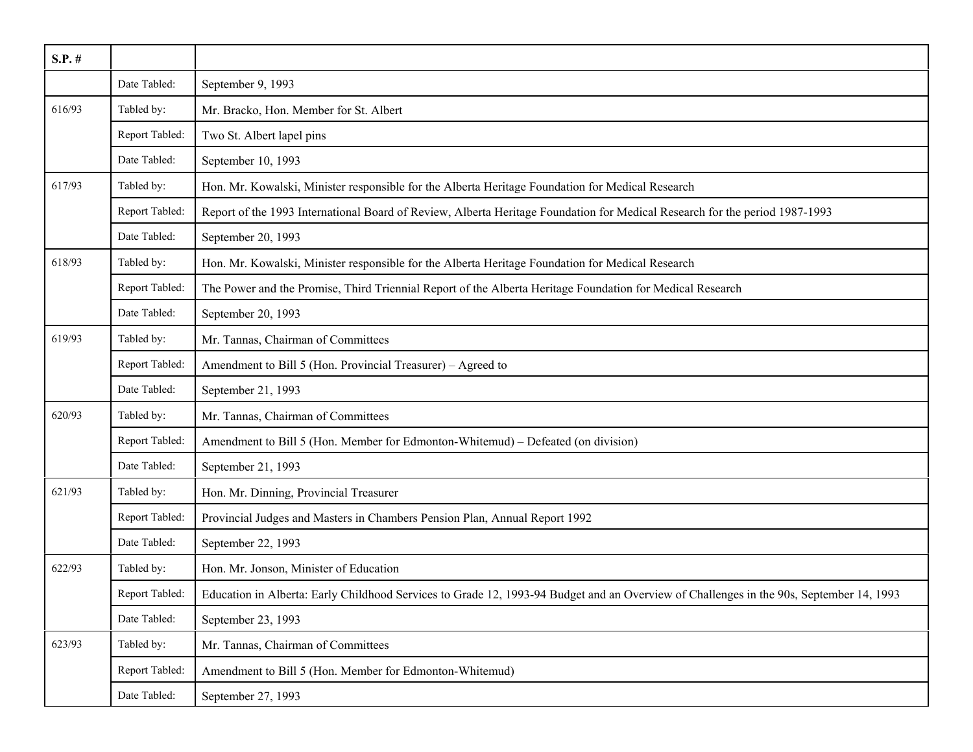| $S.P.$ # |                |                                                                                                                                         |
|----------|----------------|-----------------------------------------------------------------------------------------------------------------------------------------|
|          | Date Tabled:   | September 9, 1993                                                                                                                       |
| 616/93   | Tabled by:     | Mr. Bracko, Hon. Member for St. Albert                                                                                                  |
|          | Report Tabled: | Two St. Albert lapel pins                                                                                                               |
|          | Date Tabled:   | September 10, 1993                                                                                                                      |
| 617/93   | Tabled by:     | Hon. Mr. Kowalski, Minister responsible for the Alberta Heritage Foundation for Medical Research                                        |
|          | Report Tabled: | Report of the 1993 International Board of Review, Alberta Heritage Foundation for Medical Research for the period 1987-1993             |
|          | Date Tabled:   | September 20, 1993                                                                                                                      |
| 618/93   | Tabled by:     | Hon. Mr. Kowalski, Minister responsible for the Alberta Heritage Foundation for Medical Research                                        |
|          | Report Tabled: | The Power and the Promise, Third Triennial Report of the Alberta Heritage Foundation for Medical Research                               |
|          | Date Tabled:   | September 20, 1993                                                                                                                      |
| 619/93   | Tabled by:     | Mr. Tannas, Chairman of Committees                                                                                                      |
|          | Report Tabled: | Amendment to Bill 5 (Hon. Provincial Treasurer) – Agreed to                                                                             |
|          | Date Tabled:   | September 21, 1993                                                                                                                      |
| 620/93   | Tabled by:     | Mr. Tannas, Chairman of Committees                                                                                                      |
|          | Report Tabled: | Amendment to Bill 5 (Hon. Member for Edmonton-Whitemud) – Defeated (on division)                                                        |
|          | Date Tabled:   | September 21, 1993                                                                                                                      |
| 621/93   | Tabled by:     | Hon. Mr. Dinning, Provincial Treasurer                                                                                                  |
|          | Report Tabled: | Provincial Judges and Masters in Chambers Pension Plan, Annual Report 1992                                                              |
|          | Date Tabled:   | September 22, 1993                                                                                                                      |
| 622/93   | Tabled by:     | Hon. Mr. Jonson, Minister of Education                                                                                                  |
|          | Report Tabled: | Education in Alberta: Early Childhood Services to Grade 12, 1993-94 Budget and an Overview of Challenges in the 90s, September 14, 1993 |
|          | Date Tabled:   | September 23, 1993                                                                                                                      |
| 623/93   | Tabled by:     | Mr. Tannas, Chairman of Committees                                                                                                      |
|          | Report Tabled: | Amendment to Bill 5 (Hon. Member for Edmonton-Whitemud)                                                                                 |
|          | Date Tabled:   | September 27, 1993                                                                                                                      |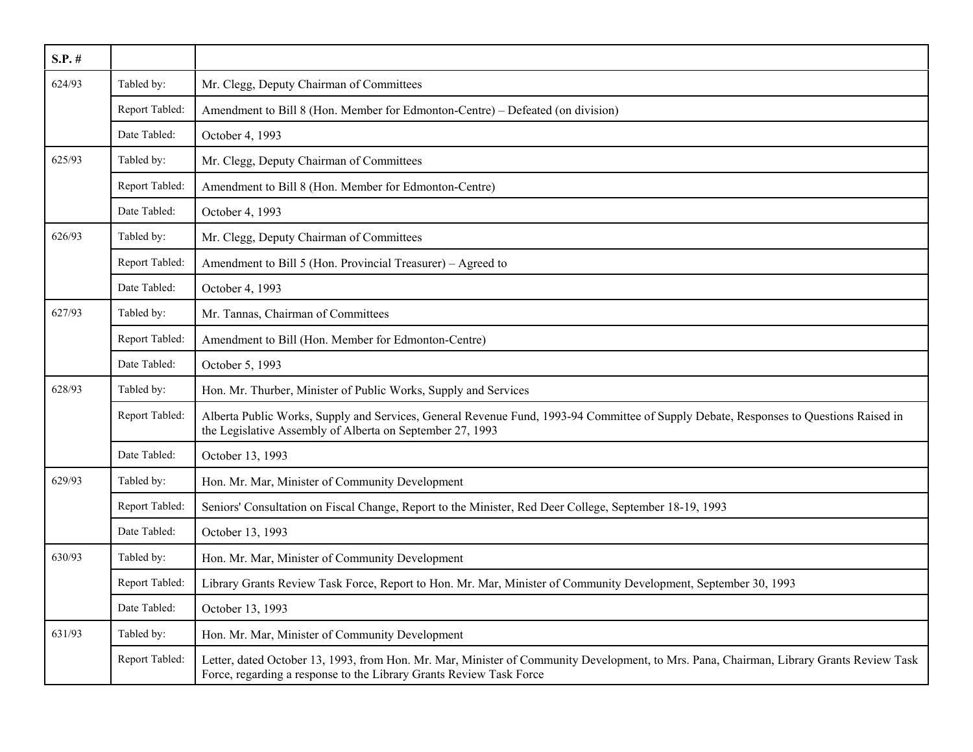| $S.P.$ # |                |                                                                                                                                                                                                                 |
|----------|----------------|-----------------------------------------------------------------------------------------------------------------------------------------------------------------------------------------------------------------|
| 624/93   | Tabled by:     | Mr. Clegg, Deputy Chairman of Committees                                                                                                                                                                        |
|          | Report Tabled: | Amendment to Bill 8 (Hon. Member for Edmonton-Centre) – Defeated (on division)                                                                                                                                  |
|          | Date Tabled:   | October 4, 1993                                                                                                                                                                                                 |
| 625/93   | Tabled by:     | Mr. Clegg, Deputy Chairman of Committees                                                                                                                                                                        |
|          | Report Tabled: | Amendment to Bill 8 (Hon. Member for Edmonton-Centre)                                                                                                                                                           |
|          | Date Tabled:   | October 4, 1993                                                                                                                                                                                                 |
| 626/93   | Tabled by:     | Mr. Clegg, Deputy Chairman of Committees                                                                                                                                                                        |
|          | Report Tabled: | Amendment to Bill 5 (Hon. Provincial Treasurer) – Agreed to                                                                                                                                                     |
|          | Date Tabled:   | October 4, 1993                                                                                                                                                                                                 |
| 627/93   | Tabled by:     | Mr. Tannas, Chairman of Committees                                                                                                                                                                              |
|          | Report Tabled: | Amendment to Bill (Hon. Member for Edmonton-Centre)                                                                                                                                                             |
|          | Date Tabled:   | October 5, 1993                                                                                                                                                                                                 |
| 628/93   | Tabled by:     | Hon. Mr. Thurber, Minister of Public Works, Supply and Services                                                                                                                                                 |
|          | Report Tabled: | Alberta Public Works, Supply and Services, General Revenue Fund, 1993-94 Committee of Supply Debate, Responses to Questions Raised in<br>the Legislative Assembly of Alberta on September 27, 1993              |
|          | Date Tabled:   | October 13, 1993                                                                                                                                                                                                |
| 629/93   | Tabled by:     | Hon. Mr. Mar, Minister of Community Development                                                                                                                                                                 |
|          | Report Tabled: | Seniors' Consultation on Fiscal Change, Report to the Minister, Red Deer College, September 18-19, 1993                                                                                                         |
|          | Date Tabled:   | October 13, 1993                                                                                                                                                                                                |
| 630/93   | Tabled by:     | Hon. Mr. Mar, Minister of Community Development                                                                                                                                                                 |
|          | Report Tabled: | Library Grants Review Task Force, Report to Hon. Mr. Mar, Minister of Community Development, September 30, 1993                                                                                                 |
|          | Date Tabled:   | October 13, 1993                                                                                                                                                                                                |
| 631/93   | Tabled by:     | Hon. Mr. Mar, Minister of Community Development                                                                                                                                                                 |
|          | Report Tabled: | Letter, dated October 13, 1993, from Hon. Mr. Mar, Minister of Community Development, to Mrs. Pana, Chairman, Library Grants Review Task<br>Force, regarding a response to the Library Grants Review Task Force |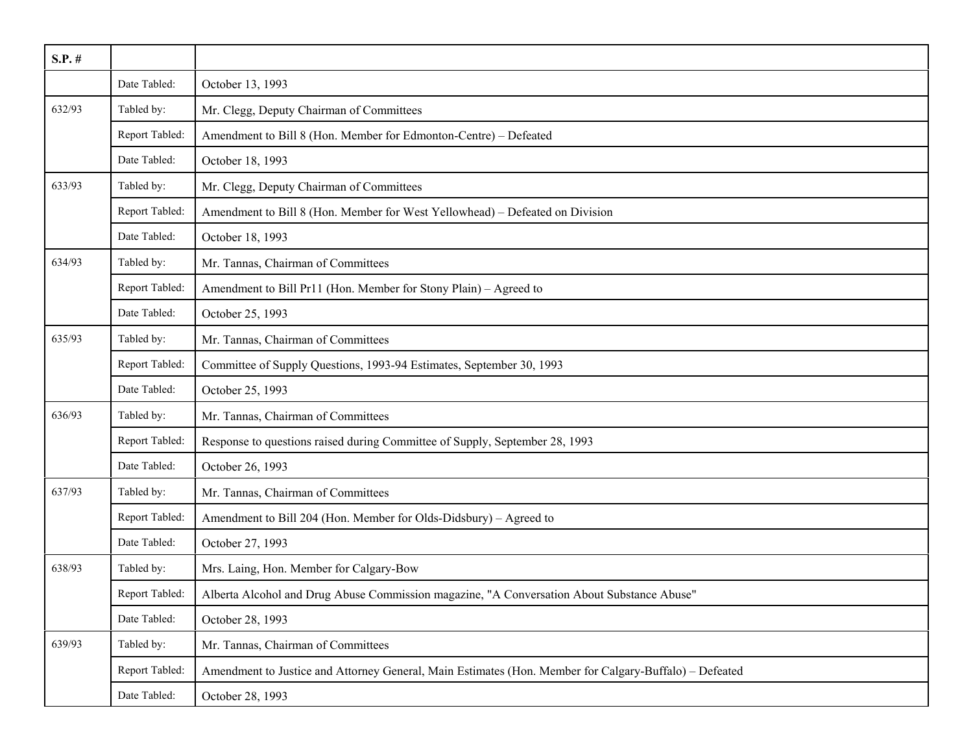| $S.P.$ # |                |                                                                                                        |
|----------|----------------|--------------------------------------------------------------------------------------------------------|
|          | Date Tabled:   | October 13, 1993                                                                                       |
| 632/93   | Tabled by:     | Mr. Clegg, Deputy Chairman of Committees                                                               |
|          | Report Tabled: | Amendment to Bill 8 (Hon. Member for Edmonton-Centre) - Defeated                                       |
|          | Date Tabled:   | October 18, 1993                                                                                       |
| 633/93   | Tabled by:     | Mr. Clegg, Deputy Chairman of Committees                                                               |
|          | Report Tabled: | Amendment to Bill 8 (Hon. Member for West Yellowhead) - Defeated on Division                           |
|          | Date Tabled:   | October 18, 1993                                                                                       |
| 634/93   | Tabled by:     | Mr. Tannas, Chairman of Committees                                                                     |
|          | Report Tabled: | Amendment to Bill Pr11 (Hon. Member for Stony Plain) - Agreed to                                       |
|          | Date Tabled:   | October 25, 1993                                                                                       |
| 635/93   | Tabled by:     | Mr. Tannas, Chairman of Committees                                                                     |
|          | Report Tabled: | Committee of Supply Questions, 1993-94 Estimates, September 30, 1993                                   |
|          | Date Tabled:   | October 25, 1993                                                                                       |
| 636/93   | Tabled by:     | Mr. Tannas, Chairman of Committees                                                                     |
|          | Report Tabled: | Response to questions raised during Committee of Supply, September 28, 1993                            |
|          | Date Tabled:   | October 26, 1993                                                                                       |
| 637/93   | Tabled by:     | Mr. Tannas, Chairman of Committees                                                                     |
|          | Report Tabled: | Amendment to Bill 204 (Hon. Member for Olds-Didsbury) - Agreed to                                      |
|          | Date Tabled:   | October 27, 1993                                                                                       |
| 638/93   | Tabled by:     | Mrs. Laing, Hon. Member for Calgary-Bow                                                                |
|          | Report Tabled: | Alberta Alcohol and Drug Abuse Commission magazine, "A Conversation About Substance Abuse"             |
|          | Date Tabled:   | October 28, 1993                                                                                       |
| 639/93   | Tabled by:     | Mr. Tannas, Chairman of Committees                                                                     |
|          | Report Tabled: | Amendment to Justice and Attorney General, Main Estimates (Hon. Member for Calgary-Buffalo) - Defeated |
|          | Date Tabled:   | October 28, 1993                                                                                       |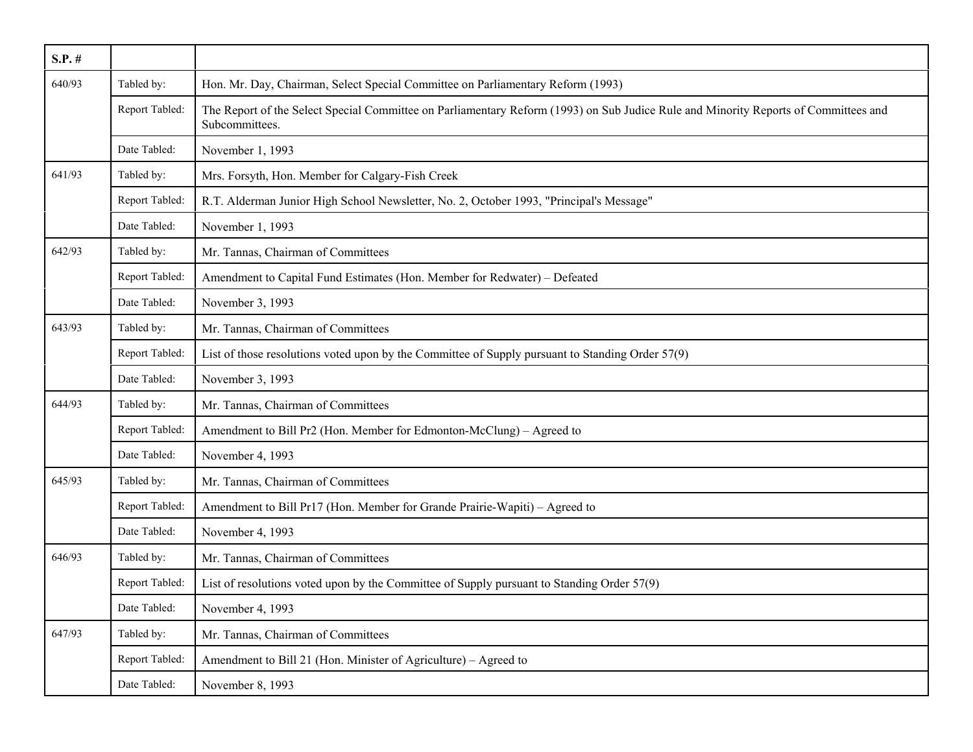| $S.P.$ # |                |                                                                                                                                                       |
|----------|----------------|-------------------------------------------------------------------------------------------------------------------------------------------------------|
| 640/93   | Tabled by:     | Hon. Mr. Day, Chairman, Select Special Committee on Parliamentary Reform (1993)                                                                       |
|          | Report Tabled: | The Report of the Select Special Committee on Parliamentary Reform (1993) on Sub Judice Rule and Minority Reports of Committees and<br>Subcommittees. |
|          | Date Tabled:   | November 1, 1993                                                                                                                                      |
| 641/93   | Tabled by:     | Mrs. Forsyth, Hon. Member for Calgary-Fish Creek                                                                                                      |
|          | Report Tabled: | R.T. Alderman Junior High School Newsletter, No. 2, October 1993, "Principal's Message"                                                               |
|          | Date Tabled:   | November 1, 1993                                                                                                                                      |
| 642/93   | Tabled by:     | Mr. Tannas, Chairman of Committees                                                                                                                    |
|          | Report Tabled: | Amendment to Capital Fund Estimates (Hon. Member for Redwater) - Defeated                                                                             |
|          | Date Tabled:   | November 3, 1993                                                                                                                                      |
| 643/93   | Tabled by:     | Mr. Tannas, Chairman of Committees                                                                                                                    |
|          | Report Tabled: | List of those resolutions voted upon by the Committee of Supply pursuant to Standing Order 57(9)                                                      |
|          | Date Tabled:   | November 3, 1993                                                                                                                                      |
| 644/93   | Tabled by:     | Mr. Tannas, Chairman of Committees                                                                                                                    |
|          | Report Tabled: | Amendment to Bill Pr2 (Hon. Member for Edmonton-McClung) - Agreed to                                                                                  |
|          | Date Tabled:   | November 4, 1993                                                                                                                                      |
| 645/93   | Tabled by:     | Mr. Tannas, Chairman of Committees                                                                                                                    |
|          | Report Tabled: | Amendment to Bill Pr17 (Hon. Member for Grande Prairie-Wapiti) – Agreed to                                                                            |
|          | Date Tabled:   | November 4, 1993                                                                                                                                      |
| 646/93   | Tabled by:     | Mr. Tannas, Chairman of Committees                                                                                                                    |
|          | Report Tabled: | List of resolutions voted upon by the Committee of Supply pursuant to Standing Order 57(9)                                                            |
|          | Date Tabled:   | November 4, 1993                                                                                                                                      |
| 647/93   | Tabled by:     | Mr. Tannas, Chairman of Committees                                                                                                                    |
|          | Report Tabled: | Amendment to Bill 21 (Hon. Minister of Agriculture) – Agreed to                                                                                       |
|          | Date Tabled:   | November 8, 1993                                                                                                                                      |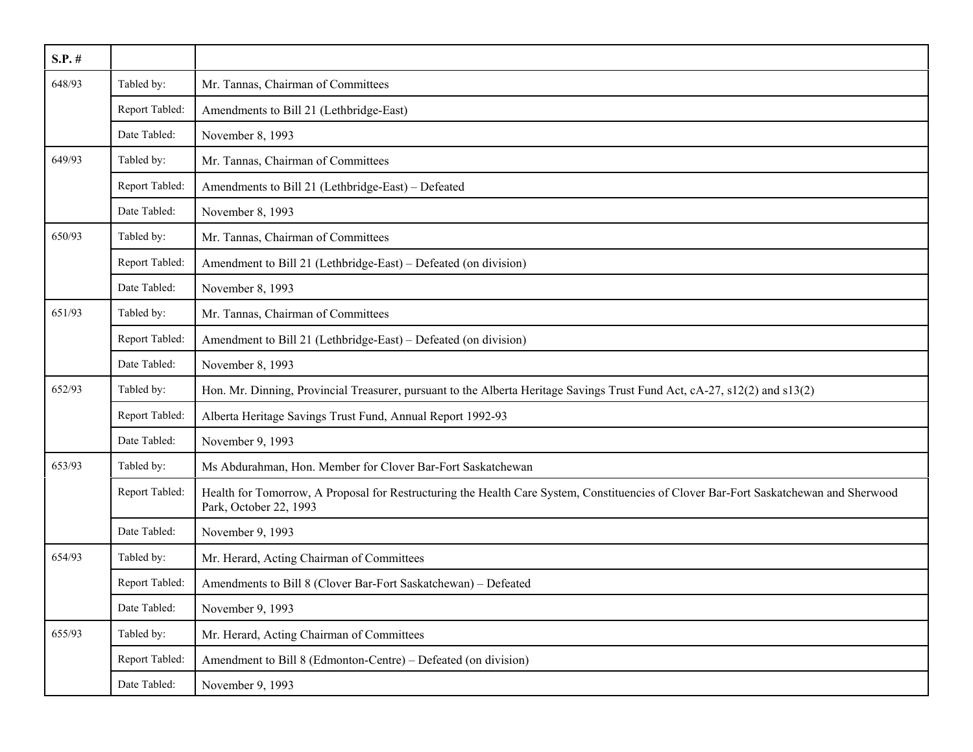| $S.P.$ # |                |                                                                                                                                                                 |
|----------|----------------|-----------------------------------------------------------------------------------------------------------------------------------------------------------------|
| 648/93   | Tabled by:     | Mr. Tannas, Chairman of Committees                                                                                                                              |
|          | Report Tabled: | Amendments to Bill 21 (Lethbridge-East)                                                                                                                         |
|          | Date Tabled:   | November 8, 1993                                                                                                                                                |
| 649/93   | Tabled by:     | Mr. Tannas, Chairman of Committees                                                                                                                              |
|          | Report Tabled: | Amendments to Bill 21 (Lethbridge-East) – Defeated                                                                                                              |
|          | Date Tabled:   | November 8, 1993                                                                                                                                                |
| 650/93   | Tabled by:     | Mr. Tannas, Chairman of Committees                                                                                                                              |
|          | Report Tabled: | Amendment to Bill 21 (Lethbridge-East) – Defeated (on division)                                                                                                 |
|          | Date Tabled:   | November 8, 1993                                                                                                                                                |
| 651/93   | Tabled by:     | Mr. Tannas, Chairman of Committees                                                                                                                              |
|          | Report Tabled: | Amendment to Bill 21 (Lethbridge-East) – Defeated (on division)                                                                                                 |
|          | Date Tabled:   | November 8, 1993                                                                                                                                                |
| 652/93   | Tabled by:     | Hon. Mr. Dinning, Provincial Treasurer, pursuant to the Alberta Heritage Savings Trust Fund Act, cA-27, s12(2) and s13(2)                                       |
|          | Report Tabled: | Alberta Heritage Savings Trust Fund, Annual Report 1992-93                                                                                                      |
|          | Date Tabled:   | November 9, 1993                                                                                                                                                |
| 653/93   | Tabled by:     | Ms Abdurahman, Hon. Member for Clover Bar-Fort Saskatchewan                                                                                                     |
|          | Report Tabled: | Health for Tomorrow, A Proposal for Restructuring the Health Care System, Constituencies of Clover Bar-Fort Saskatchewan and Sherwood<br>Park, October 22, 1993 |
|          | Date Tabled:   | November 9, 1993                                                                                                                                                |
| 654/93   | Tabled by:     | Mr. Herard, Acting Chairman of Committees                                                                                                                       |
|          | Report Tabled: | Amendments to Bill 8 (Clover Bar-Fort Saskatchewan) - Defeated                                                                                                  |
|          | Date Tabled:   | November 9, 1993                                                                                                                                                |
| 655/93   | Tabled by:     | Mr. Herard, Acting Chairman of Committees                                                                                                                       |
|          | Report Tabled: | Amendment to Bill 8 (Edmonton-Centre) – Defeated (on division)                                                                                                  |
|          | Date Tabled:   | November 9, 1993                                                                                                                                                |